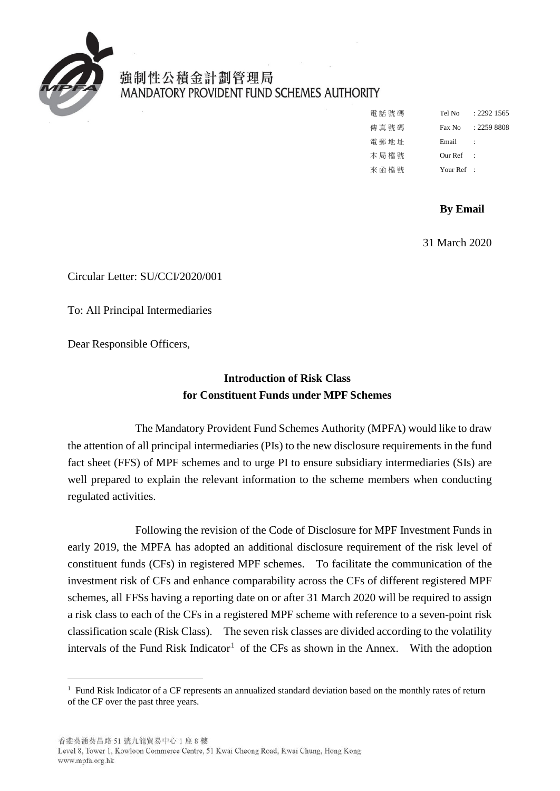

-

強制性公積金計劃管理局 MANDATORY PROVIDENT FUND SCHEMES AUTHORITY

| 電話號碼    | Tel No       | $+2292.1565$  |
|---------|--------------|---------------|
| 傳 直 號 碼 | Fax No       | $: 2259$ 8808 |
| 電郵地址    | Email        |               |
| 本局檔號    | Our Ref      |               |
| 來函檔號    | Your $Ref$ : |               |

## **By Email**

31 March 2020

Circular Letter: SU/CCI/2020/001

To: All Principal Intermediaries

Dear Responsible Officers,

## **Introduction of Risk Class for Constituent Funds under MPF Schemes**

 fact sheet (FFS) of MPF schemes and to urge PI to ensure subsidiary intermediaries (SIs) are The Mandatory Provident Fund Schemes Authority (MPFA) would like to draw the attention of all principal intermediaries (PIs) to the new disclosure requirements in the fund well prepared to explain the relevant information to the scheme members when conducting regulated activities.

 early 2019, the MPFA has adopted an additional disclosure requirement of the risk level of investment risk of CFs and enhance comparability across the CFs of different registered MPF a risk class to each of the CFs in a registered MPF scheme with reference to a seven-point risk classification scale (Risk Class). The seven risk classes are divided according to the volatility intervals of the Fund Risk Indicator<sup>1</sup> of the CFs as shown in the Annex. With the adoption Following the revision of the Code of Disclosure for MPF Investment Funds in constituent funds (CFs) in registered MPF schemes. To facilitate the communication of the schemes, all FFSs having a reporting date on or after 31 March 2020 will be required to assign

<span id="page-0-0"></span><sup>1</sup> Fund Risk Indicator of a CF represents an annualized standard deviation based on the monthly rates of return of the CF over the past three years.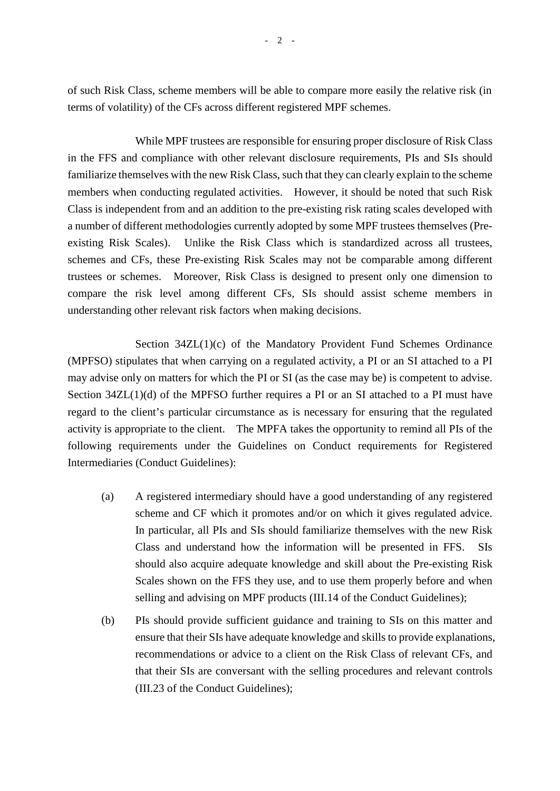of such Risk Class, scheme members will be able to compare more easily the relative risk (in terms of volatility) of the CFs across different registered MPF schemes.

 While MPF trustees are responsible for ensuring proper disclosure of Risk Class familiarize themselves with the new Risk Class, such that they can clearly explain to the scheme members when conducting regulated activities. However, it should be noted that such Risk Class is independent from and an addition to the pre-existing risk rating scales developed with trustees or schemes. Moreover, Risk Class is designed to present only one dimension to understanding other relevant risk factors when making decisions. in the FFS and compliance with other relevant disclosure requirements, PIs and SIs should a number of different methodologies currently adopted by some MPF trustees themselves (Preexisting Risk Scales). Unlike the Risk Class which is standardized across all trustees, schemes and CFs, these Pre-existing Risk Scales may not be comparable among different compare the risk level among different CFs, SIs should assist scheme members in

may advise only on matters for which the PI or SI (as the case may be) is competent to advise. regard to the client's particular circumstance as is necessary for ensuring that the regulated activity is appropriate to the client. The MPFA takes the opportunity to remind all PIs of the Intermediaries (Conduct Guidelines): Section 34ZL(1)(c) of the Mandatory Provident Fund Schemes Ordinance (MPFSO) stipulates that when carrying on a regulated activity, a PI or an SI attached to a PI Section  $34ZL(1)(d)$  of the MPFSO further requires a PI or an SI attached to a PI must have following requirements under the Guidelines on Conduct requirements for Registered

- (a) A registered intermediary should have a good understanding of any registered scheme and CF which it promotes and/or on which it gives regulated advice. In particular, all PIs and SIs should familiarize themselves with the new Risk Class and understand how the information will be presented in FFS. SIs should also acquire adequate knowledge and skill about the Pre-existing Risk Scales shown on the FFS they use, and to use them properly before and when selling and advising on MPF products (III.14 of the Conduct Guidelines);
- recommendations or advice to a client on the Risk Class of relevant CFs, and (b) PIs should provide sufficient guidance and training to SIs on this matter and ensure that their SIs have adequate knowledge and skills to provide explanations, that their SIs are conversant with the selling procedures and relevant controls (III.23 of the Conduct Guidelines);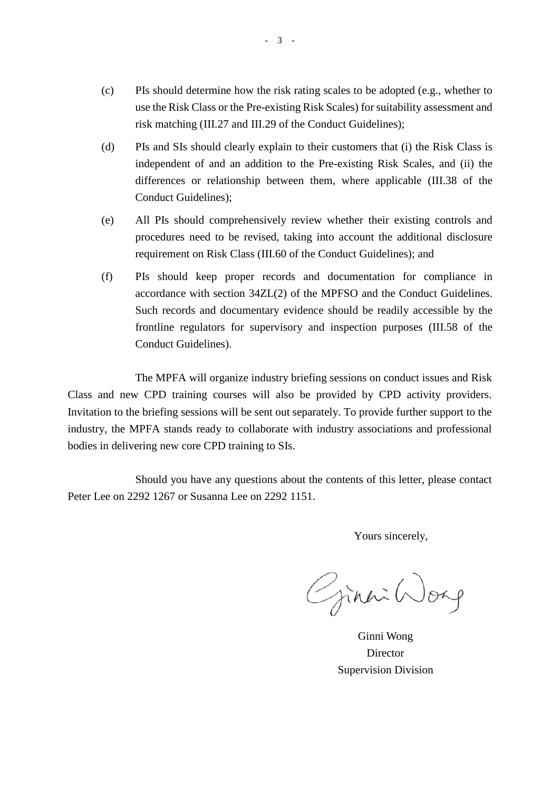- use the Risk Class or the Pre-existing Risk Scales) for suitability assessment and risk matching (III.27 and III.29 of the Conduct Guidelines); (c) PIs should determine how the risk rating scales to be adopted (e.g., whether to
- independent of and an addition to the Pre-existing Risk Scales, and (ii) the differences or relationship between them, where applicable (III.38 of the (d) PIs and SIs should clearly explain to their customers that (i) the Risk Class is Conduct Guidelines);
- (e) All PIs should comprehensively review whether their existing controls and requirement on Risk Class (III.60 of the Conduct Guidelines); and procedures need to be revised, taking into account the additional disclosure
- accordance with section 34ZL(2) of the MPFSO and the Conduct Guidelines. frontline regulators for supervisory and inspection purposes (III.58 of the (f) PIs should keep proper records and documentation for compliance in Such records and documentary evidence should be readily accessible by the Conduct Guidelines).

Class and new CPD training courses will also be provided by CPD activity providers. The MPFA will organize industry briefing sessions on conduct issues and Risk Invitation to the briefing sessions will be sent out separately. To provide further support to the industry, the MPFA stands ready to collaborate with industry associations and professional bodies in delivering new core CPD training to SIs.

 Peter Lee on 2292 1267 or Susanna Lee on 2292 1151. Should you have any questions about the contents of this letter, please contact

Yours sincerely,

Ginni Worg

 Supervision Division Ginni Wong Director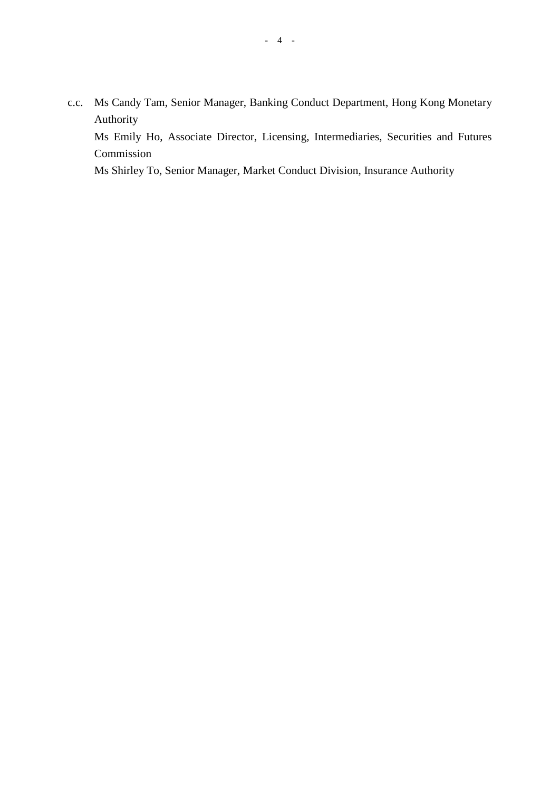c.c. Ms Candy Tam, Senior Manager, Banking Conduct Department, Hong Kong Monetary Authority

 Ms Emily Ho, Associate Director, Licensing, Intermediaries, Securities and Futures Commission

Ms Shirley To, Senior Manager, Market Conduct Division, Insurance Authority